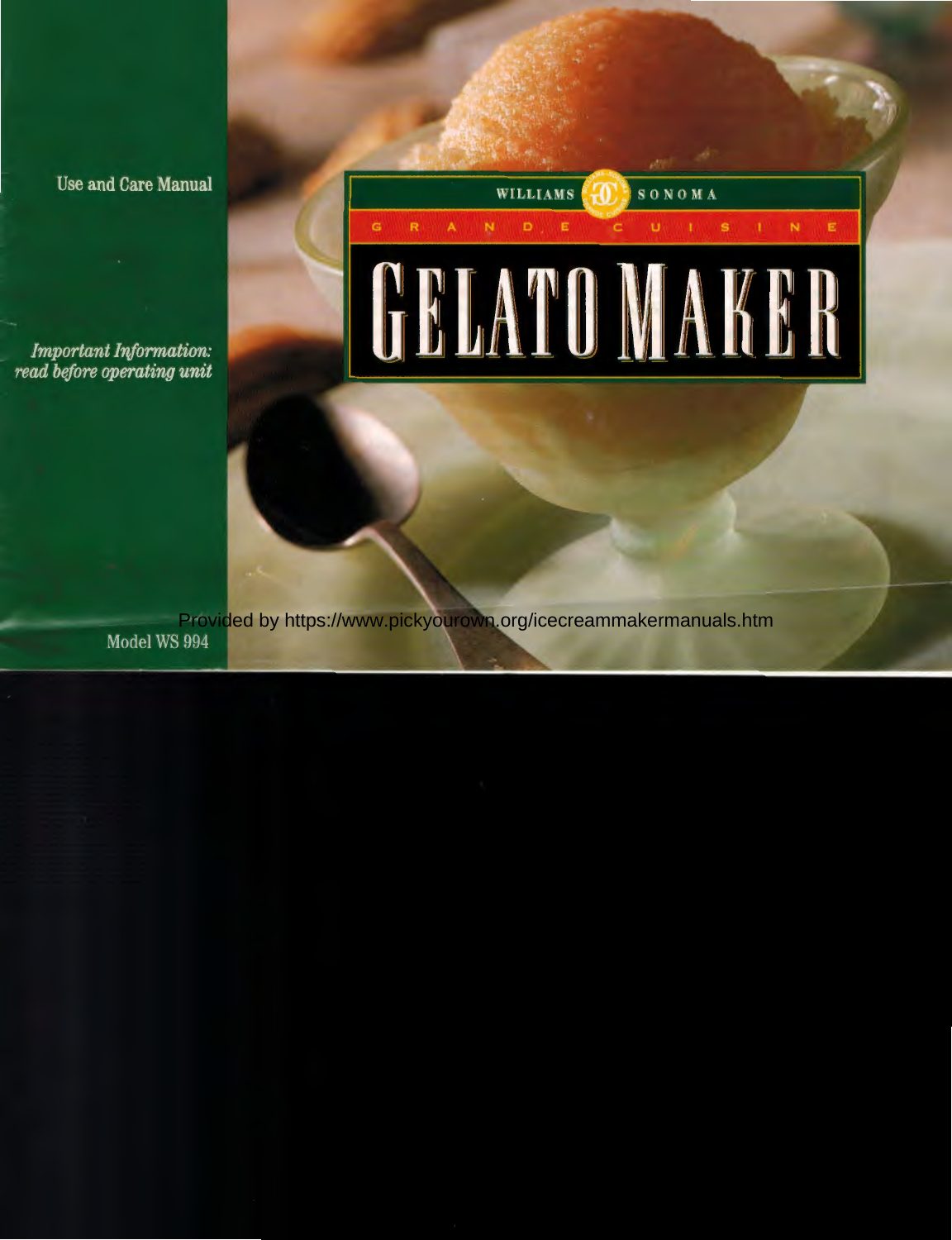Use and Care Manual

*Important /riformation: read before operating unit* 

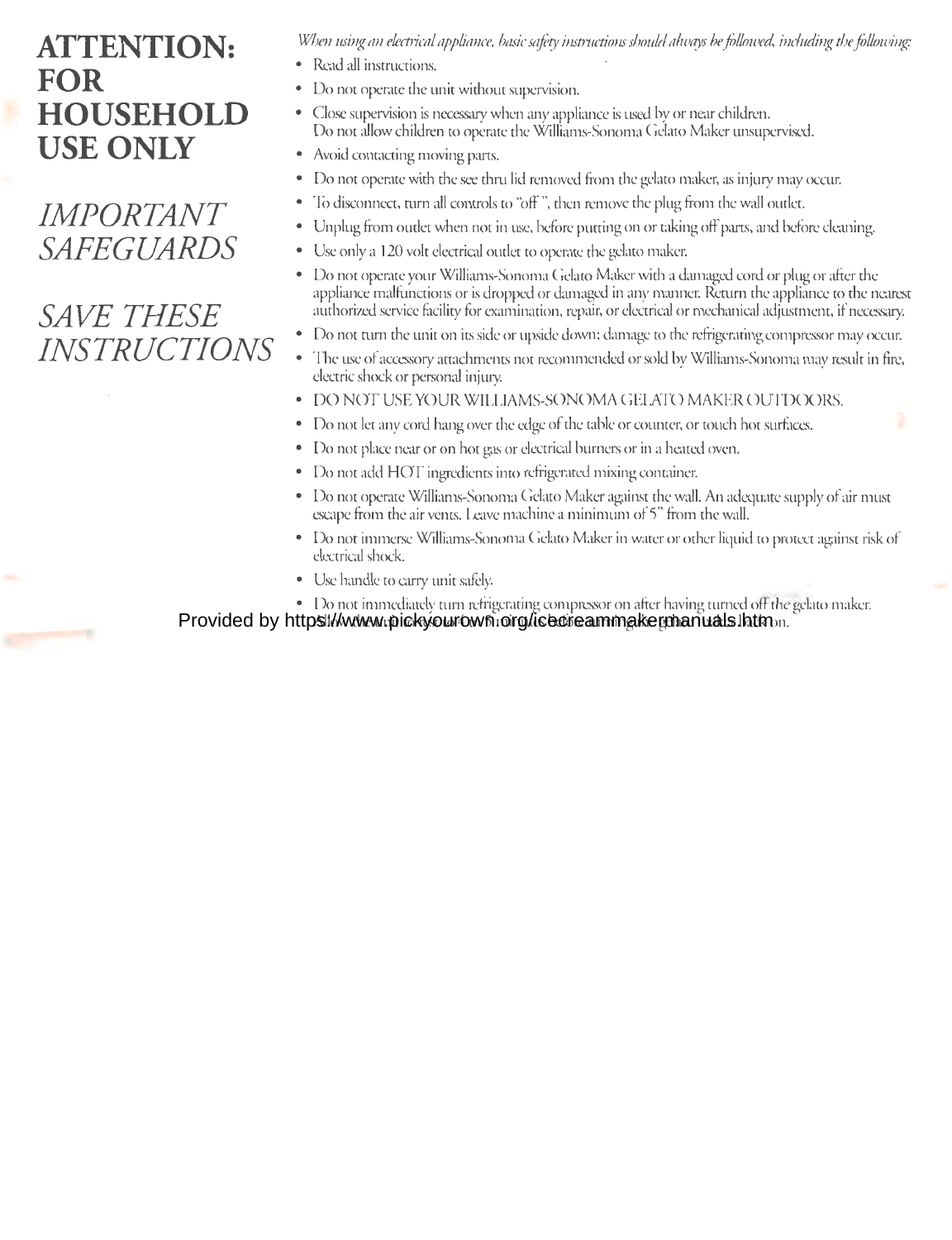# **ATTENTION: FOR HOUSEHOLD USE ONLY**

*IMPORTANT SAFEGUARDS* 

# *.SAVE THESE INSTRUCTIONS*

*When using an el.ectrical appliance, basic safety instructions shoul.d always be followed, including the foUowing:* 

- Read all instructions.
- Do not operate the unit without supervision.
- Close supervision is necessary when any appliance is used by or near children. Do not allow children to operate the Williams-Sonoma Gelato Maker unsupervised.
- Avoid contacting moving parts.
- Do not operate with the see thru lid removed from the gelato maker, as injury may occur.
- To disconnect, turn all controls to "off", then remove the plug from the wall outlet.
- Unplug from outlet when not in use, before putting on or taking off parts, and before cleaning.
- Use only a 120 volt electrical outlet to operate the gelato maker.
- Do not operate your Williams-Sonoma Gelato Maker with a damaged cord or plug or after the appliance malfunctions or is dropped or damaged in any manner. Return the appliance to the nearest authorized service facility for examination, repair, or electrical or mechanical adjustment, if necessary.
- Do not turn the unit on its side or upside down; damage to the refrigerating compressor may occur.
- The use of accessory attachments not recommended or sold by Williams-Sonoma may result in fire, electric shock or personal injury.
- DO NOT USE YOUR WILLIAMS-SONOMA GElATO MAKER OUTDOORS.
- Do not let any cord hang over the edge of the table or counter, or touch hot surfaces.
- Do not place near or on hot gas or electrical burners or in a heated oven.
- Do not add HOT ingredients into refrigerated mixing container.
- Do not operate Williams-Sonoma Gelato Maker against the wall. An adequate supply of air must escape from the air vents. Leave machine a minimum of 5" from the wall.
- Do not immerse Williams-Sonoma Gelato Maker in water or other liquid to protect against risk of electrical shock.
- Use handle to carry unit safely.
- Do not immediately turn refrigerating compressor on after having turned off the gelato maker.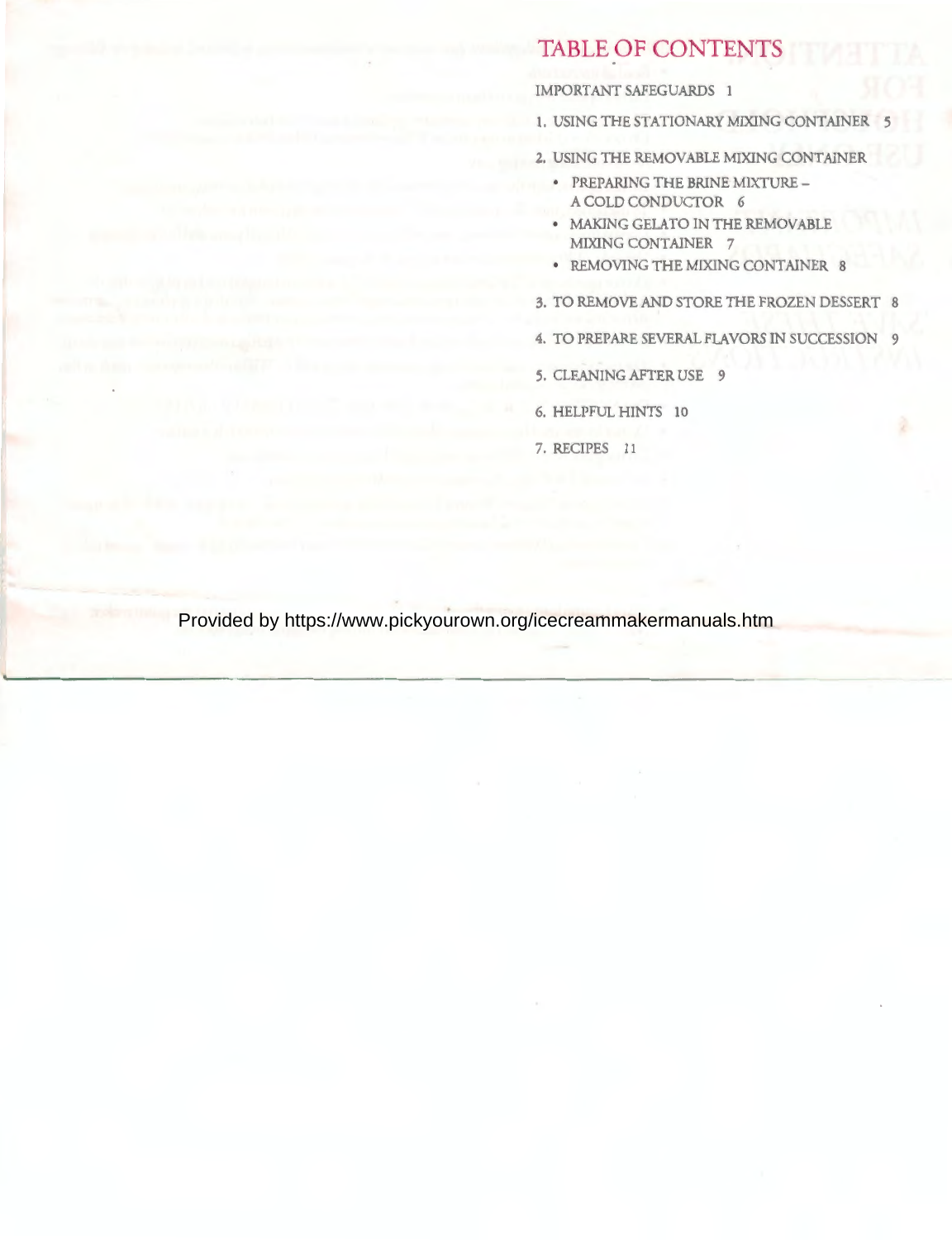### **TABLE OF CONTENTS**

#### IMPORTANT SAFEGUARDS 1

- 1. USING THE STATIONARY MIXING CONTAINER
- 2. USING THE REMOVABLE MIXING CONTAINER
	- PREPARING THE BRINE MIXTURE A COLD CONDUCTOR 6
	- MAKING GELATO IN THE REMOVABLE MIXING CONTAINER 7
	- REMOVING THE MIXING CONTAINER 8
- 3. TO REMOVE AND STORE THE FROZEN DESSERT 8
- 4. TO PREPARE EVERAL FLAVORS IN SUCCESSION 9
- 5. CLEANING AFTER USE 9
- 6. HELPFUL HINTS 10
- 7. RECIPES 11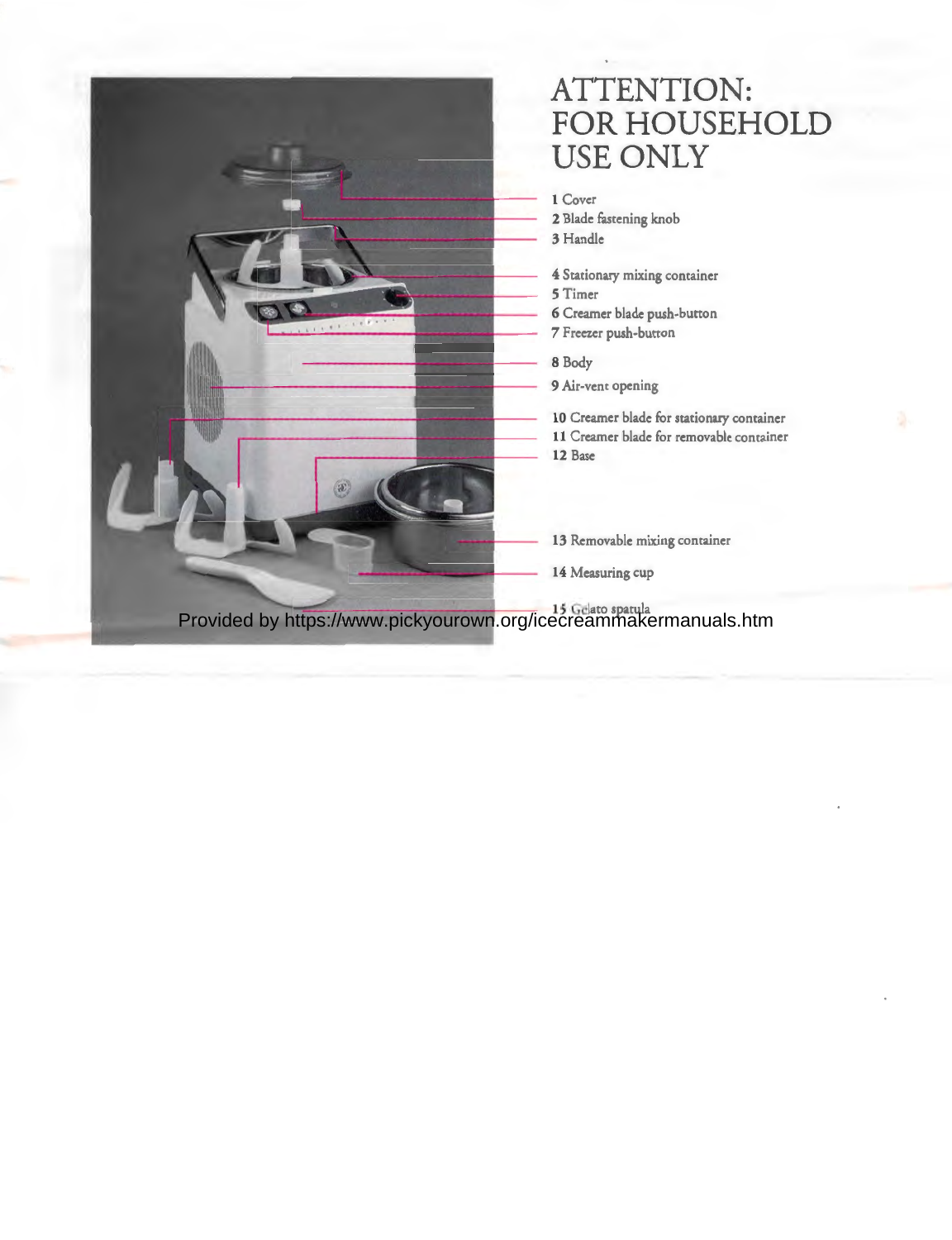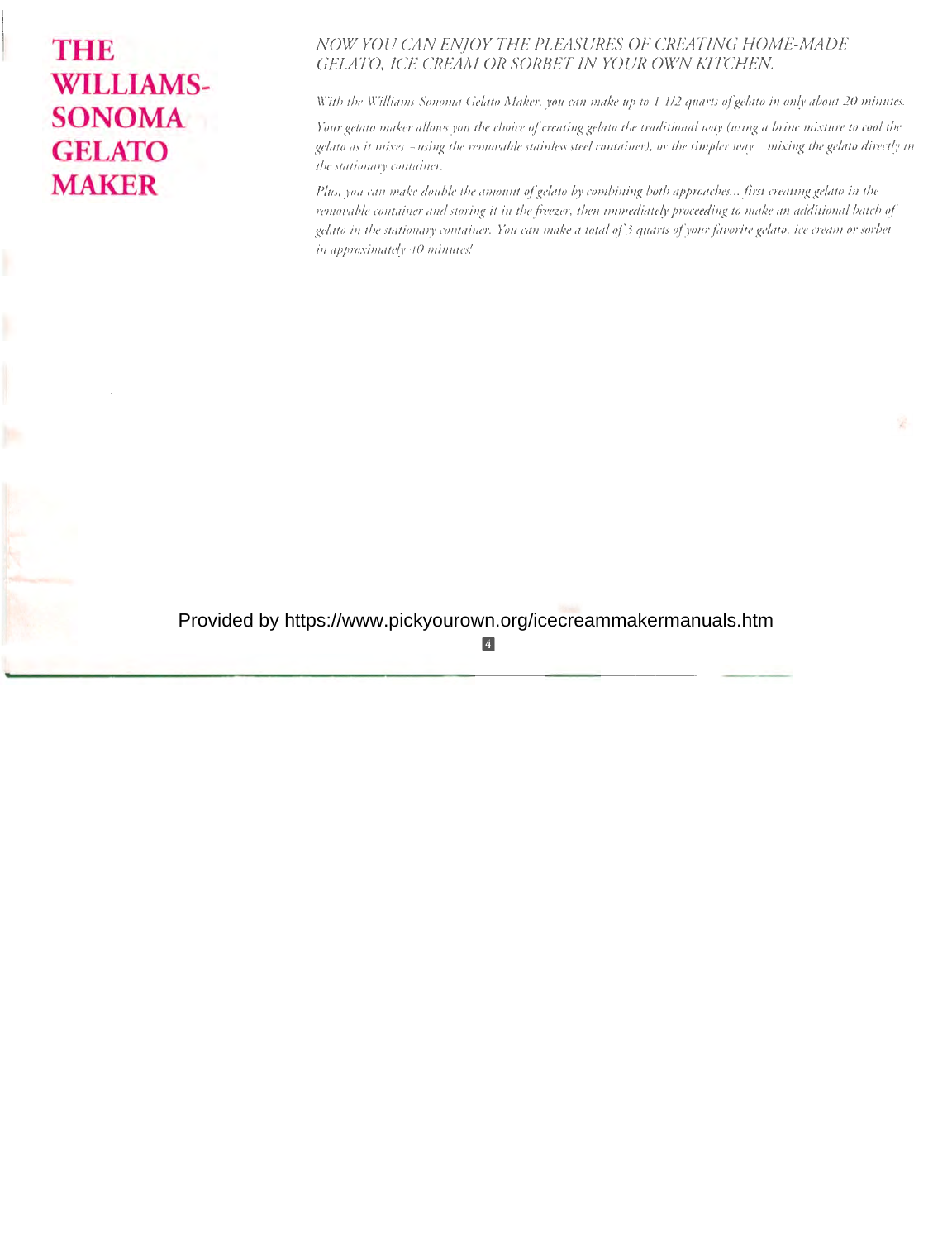# **THE WILLIAMS-SONOMA GELATO MAKER**

### *NOW YOU CAN ENJOY THE PLEASURES OF CREATING HOME-MADE GELATO, ICE CREAM OR SORBET IN YOUR OWN KITCHEN.*

*With the Williams-Sonoma Gelato Maker, you can make up to I J/2 quarts of gelato in only about 20 minutes.* 

*Your gelato maker allows you the choice of creating gelato the traditional way (using a brine mixture to cool the gelato as it mixes -using the removable stainless steel container), or the simpler way* - *mixing the gelato directly in the stationary container.* 

*Plus, you can make double the amount of gelato by combining both approaches ... first creating gefato in the removable container and storing it in the freezer, then immediately proceeding to make an additional batch of gelato in the stationary container. You can make a total of 3 quarts of your favorite gelato, ice cream or sorbet in approximately 40 minutes!*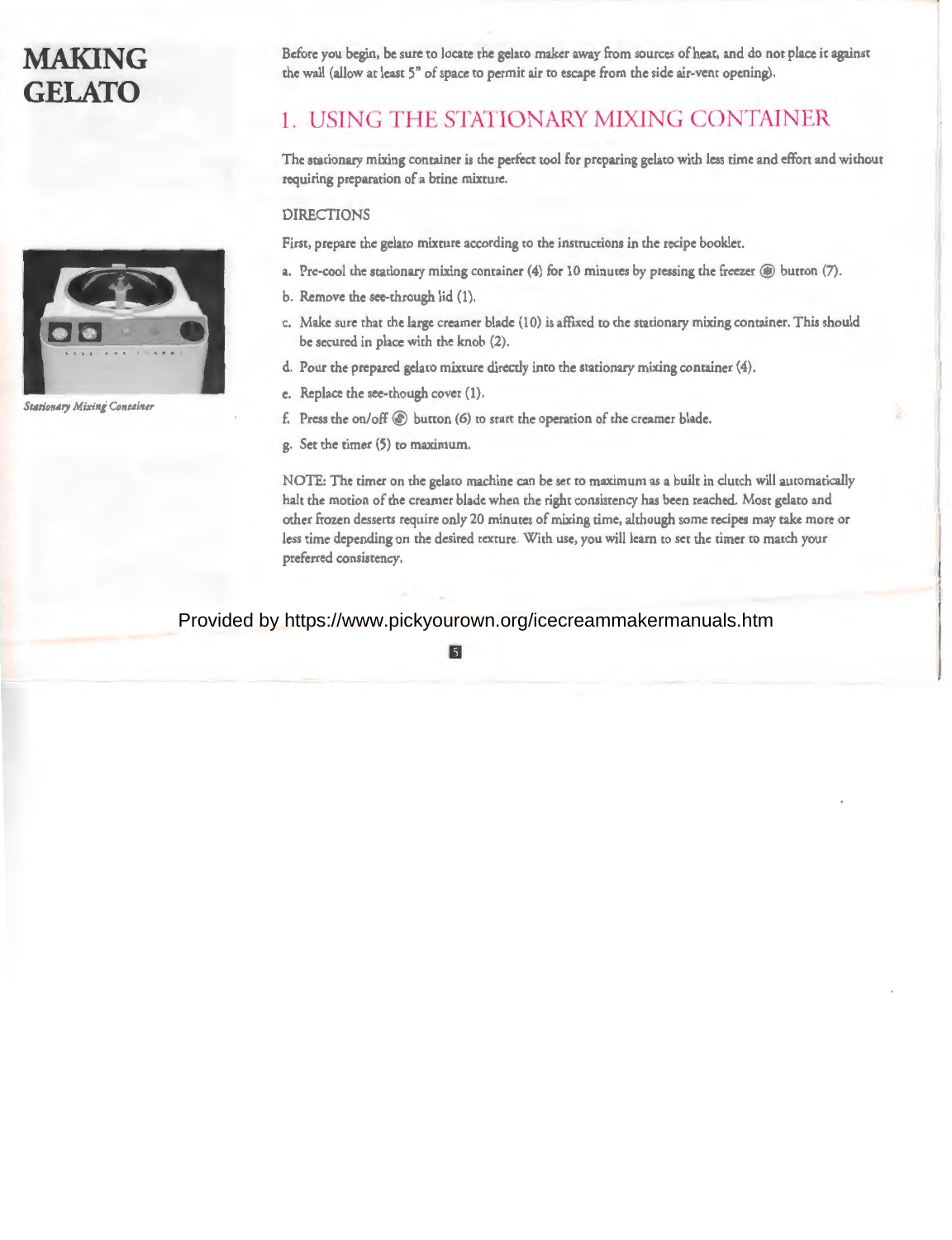# **MAKING GELATO**



**Stationary Mixing Container** 

Before you begin, be sure to locate the gelato maker away from sources of heat, and do not place it against the wall (allow at least 5" of space co permit air co escape from the side air-vent opening).

### **1. USING THE STATIONARY MIXING CONTAINER**

The stationary mixing container is the perfect cool for preparing gelaco with less time and effort and without requiring preparation of a brine mixture.

### DIRECTIONS

First, prepare the gelato mixture according to the instructions in the recipe booklet.

- a. Pre-cool the stationary mixing container (4) for 10 minutes by pressing the freezer  $\circledast$  button (7).
- b. Remove the see-through lid (1).
- c. Make sure char che large creamer blade (10) is affixed co the stationary mixing container. This should be secured in place with the knob (2).
- d. Pour the prepared gelaco mixture directly into the stationary mixing container (4).
- e. Replace the see-though cover (1).
- f. Press the on/off@ button (6) co start the operation of the creamer blade.
- g. Set the timer (5) co maximum.

NOTE: The timer on the gelaco machine can be sec co maximum as a built in clutch will automatically halt the motion of the creamer blade when the right consistency has been reached. Most gelato and other frozen desserts require only 20 minutes of mixing time, although some recipes may cake more or less time depending on the desired texture. With use, you will learn co set the timer co match your preferred consistency.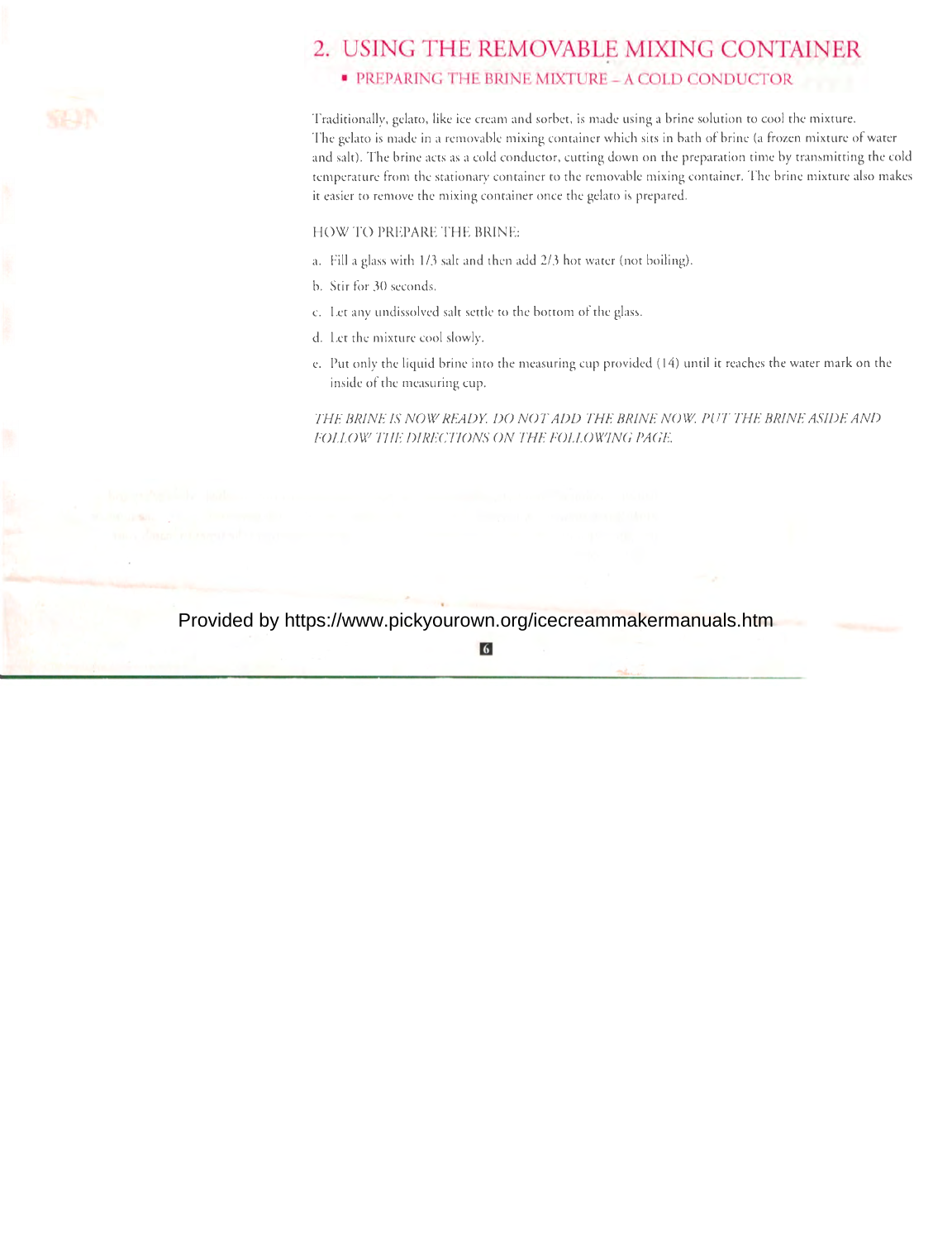

### 2. USING THE REMOVABLE MIXING CONTAINER

### • PREPARING THE BRINE MIXTURE - A COLD CONDUCTOR

Traditionally, gelato, like ice cream and sorbet, is made using a brine solution to cool the mixture. The gelaco is made in a removable mixing container which sits in bath of brine (a frozen mixture of water and sale). The brine acts as a cold conductor, cutting down on the preparation time by transmitting the cold temperature from the stationary container co the removable mixing container. The brine mixture also makes it easier to remove the mixing container once the gelato is prepared.

HOW TO PREPARE THE BRINE:

- a. Fill a glass with 1/3 sale and then add 2/3 hoc water (not boiling).
- b. Stir for 30 seconds.
- c. Let any undissolved salt settle to the bottom of the glass.
- d. Let the mixture cool slowly.
- e. Puc only the liquid brine into the measuring cup provided (14) umil it reaches the water mark on the inside of the measuring cup.

THE BRINE IS NOW READY. DO NOT ADD THE BRINE NOW. PUT THE BRINE ASIDE AND *FOLLOW THE DIRECTIONS ON THE FOLLOWING PAGE.* 

### Provided by https://www.pickyourown.org/icecreammakermanuals.htm

m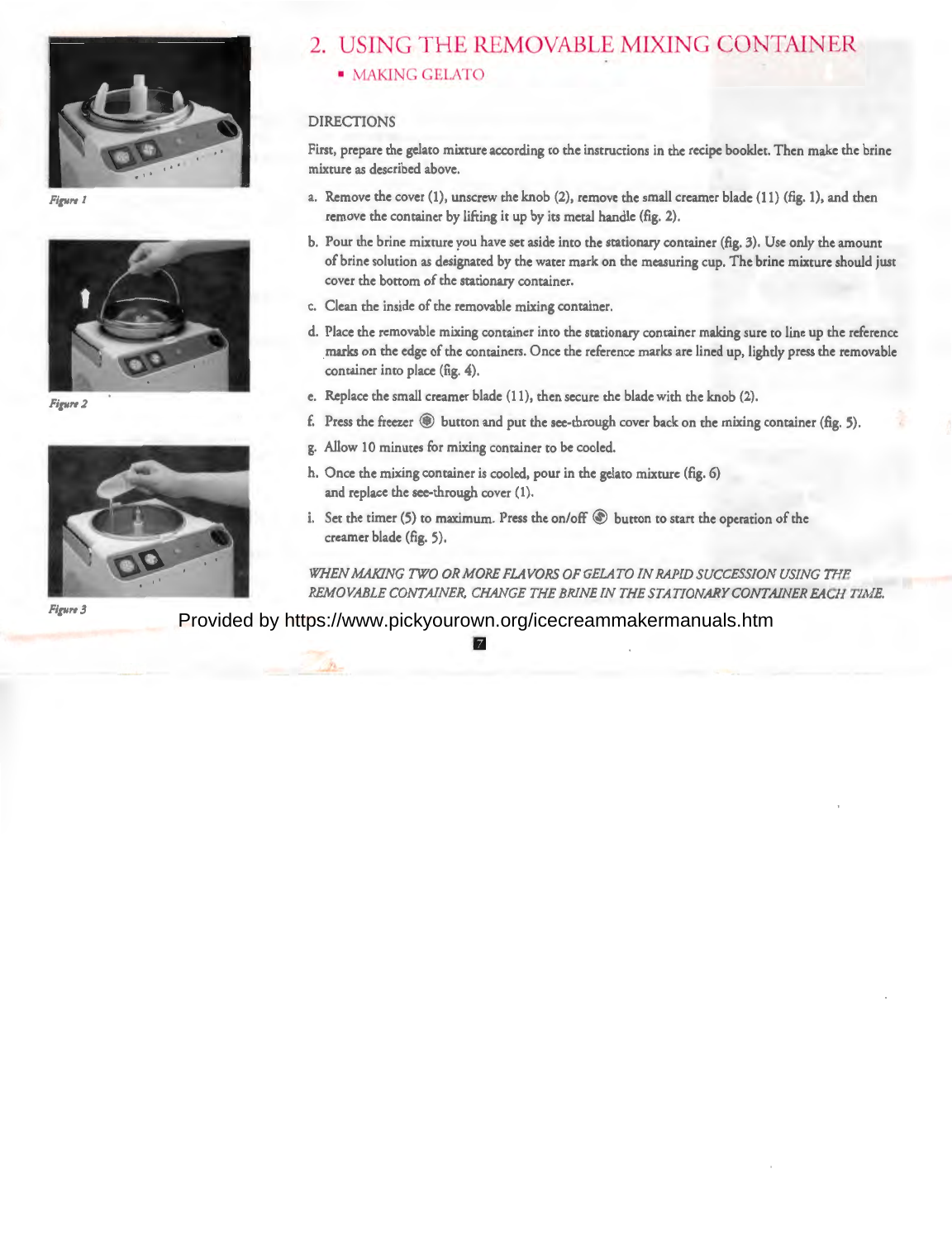

**Figure 1** 



*Figure 2* 



*Fig11re 3* 

### 2. USING THE REMOVABLE MIXING CONTAINER • MAKING GELATO

#### DIRECTIONS

First, prepare the gelato mixture according to the instructions in the recipe booklet. Then make the brine mixture as described above.

- a. Remove the cover (1), unscrew the knob (2), remove the small creamer blade (11) (fig. 1), and then remove the container by lifting it up by its metal handle (fig. 2).
- b. Pour the brine mixture you have set aside into the stationary container (fig. 3). Use only the amount of brine solution as designated by the water mark on the measuring cup. The brine mixture should just cover the bottom of the stationary container.
- c. Clean the inside of the removable mixing container.
- d. Place the removable mixing container into the stationary container making sure to line up the reference marks on the edge of the containers. Once the reference marks are lined up, lightly press the removable container into place (fig. 4).
- e. Replace the small creamer blade (11), then secure the blade with the knob (2).
- f. Press the freezer @) button and put the see-through cover back on the mixing container (fig. 5).
- g. Allow 10 minutes for mixing container to be cooled.
- h. Once the mixing container is cooled, pour in the gelato mixture (fig. 6) and replace the see-through cover (1).
- i. Set the timer (5) to maximum. Press the on/off  $\circledast$  button to start the operation of the creamer blade (fig. 5).

*WHEN MAKING TWO OR MORE FLAVORS OF GELATO IN RAPID SUCCESSION USING THE REMOVABLE CONTAINER, CHANGE THE BRINE IN THE STATIONARY CONTAINER EACH TIME.* 

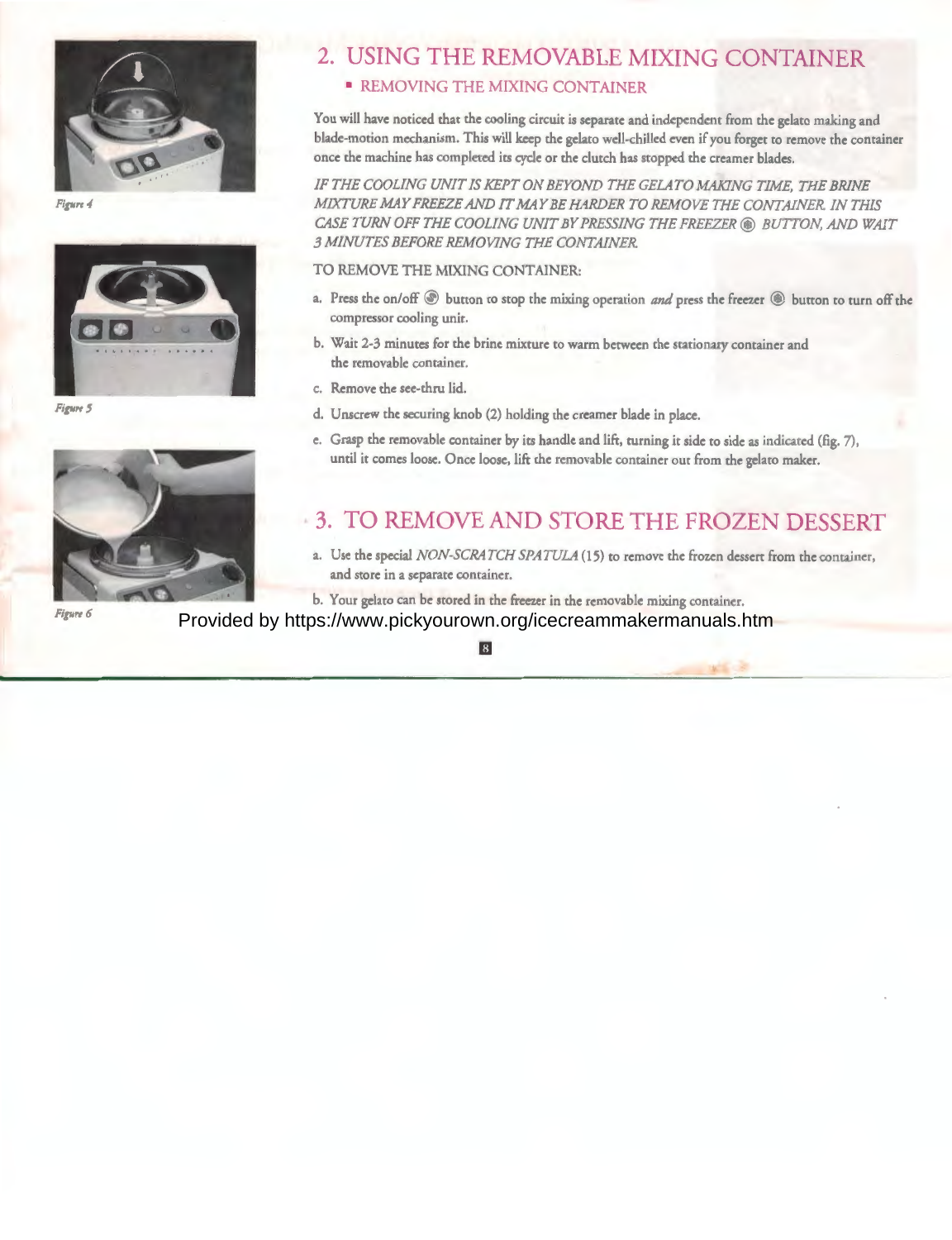

Figure 4



*Figure 5* 



*Figure 6* 

## 2. USING THE REMOVABLE MIXING CONTAINER

### **• REMOVING THE MIXING CONTAINER**

You will have noticed that the cooling circuit is separate and independent from the gelato making and blade-motion mechanism. This will keep the gelato well-chilled even if you forget to remove the container once the machine has completed its cycle or the clutch has stopped the creamer blades.

**IF THE COOLING UNIT IS KEPT ON BEYOND THE GELATO MAKING TIME, THE BRINE** *MIXTURE MAY FREEZE AND IT MAY BE HARDER TO REMOVE THE CONTAINER. IN THIS CASE TURN OFF THE COOLING UNIT BY PRESSING THE FREEZER @) BUTTON, AND WAIT 3 MINUTES BEFORE REMOVING THE CONTAINER.* 

#### TO REMOVE THE MIXING CONTAINER:

- a. Press the on/off @ button to stop the mixing operation *and* press the freezer @) button to tum off the compressor cooling unit.
- b. Wait 2-3 minutes for the brine mixture to warm between the stationary container and the removable container.
- c. Remove the see-thru lid.
- d. Unscrew the securing knob (2) holding the creamer blade in place.
- e. Grasp the removable container by its handle and lift, turning it side to side as indicated (fig. 7), until it comes loose. Once loose, lift the removable container out from the gelato maker.

### 3. TO REMOVE AND STORE THE FROZEN DESSERT

a. Use the special *NON-SCRATCH SPATULA* (15) to remove the frozen dessert from the container, and store in a separate container.

b. Your gelato can be stored in the freezer in the removable mixing container.

Provided by https://www.pickyourown.org/icecreammakermanuals.htm

 $\overline{8}$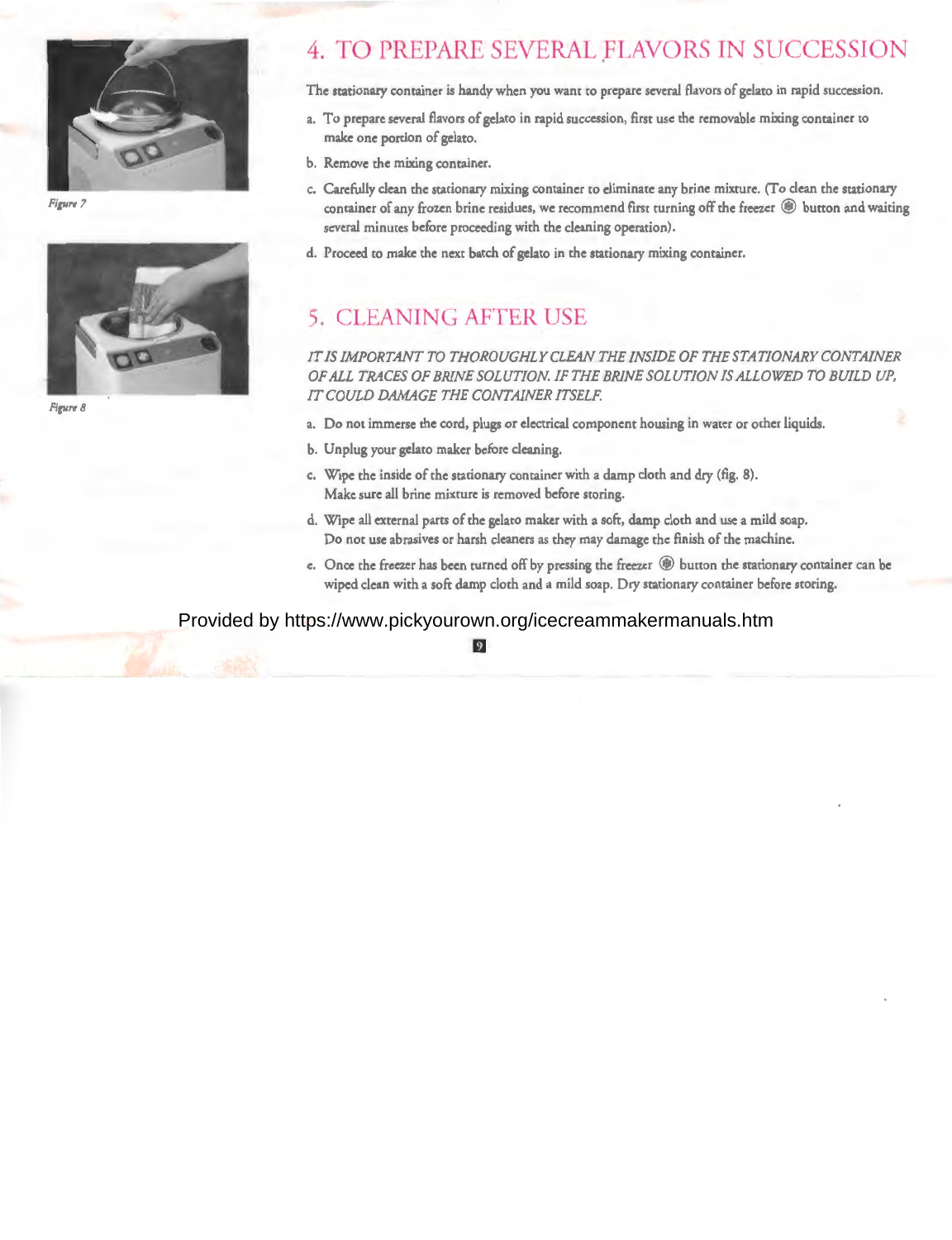

**Figure 7** 



*Figure 8* 

### **4. TO PREPARE SEVERAL FLAVORS IN SUCCESSION**

The stationary container is handy when you want to prepare several flavors of gelato in rapid succession.

- a. To prepare several flavors of gelaco in rapid succession, first use the removable mixing container co make one portion of gelaro.
- b. Remove the mixing container.
- c. Carefully clean rhe stationary mixing container co eliminate any brine mixture. (To clean rhe srarionary container of any frozen brine residues, we recommend first turning off the freezer @ button and waiting several minutes before proceeding with the cleaning operation).
- d. Proceed co make the next batch of gelaco in rhe stationary mixing container.

### **5. CLEANING AFTER USE**

### *IT IS IMPORTANT TO THOROUGHLY CLEAN THE INSIDE OF THE STATIONARY CONTAINER OF ALL TRACES OF BRINE SOLUTION IF THE BRINE SOLUTION IS ALLOWED TO BUILD UP, IT COULD DAMAGE THE CONTAINER ITSELF.*

- a. Do not immerse the cord, plugs or electrical component housing in water or other liquids.
- b. Unplug your gelaro maker before cleaning.
- c. Wipe rhe inside of the stationary container with a damp cloth and dry (fig. 8). Make sure all brine mixture is removed before scoring.
- d. Wipe all external parts of the gelaco maker with a soft, damp cloth and use a mild soap. Do nor use abrasives or harsh cleaners as rhey may damage rhe finish of the machine.
- e. Once the freezer has been turned off by pressing the freezer  $\circledast$  button the stationary container can be wiped clean with a soft damp cloth and a mild soap. Dry stationary container before scoring.

#### Provided by https://www.pickyourown.org/icecreammakermanuals.htm

#### $\overline{9}$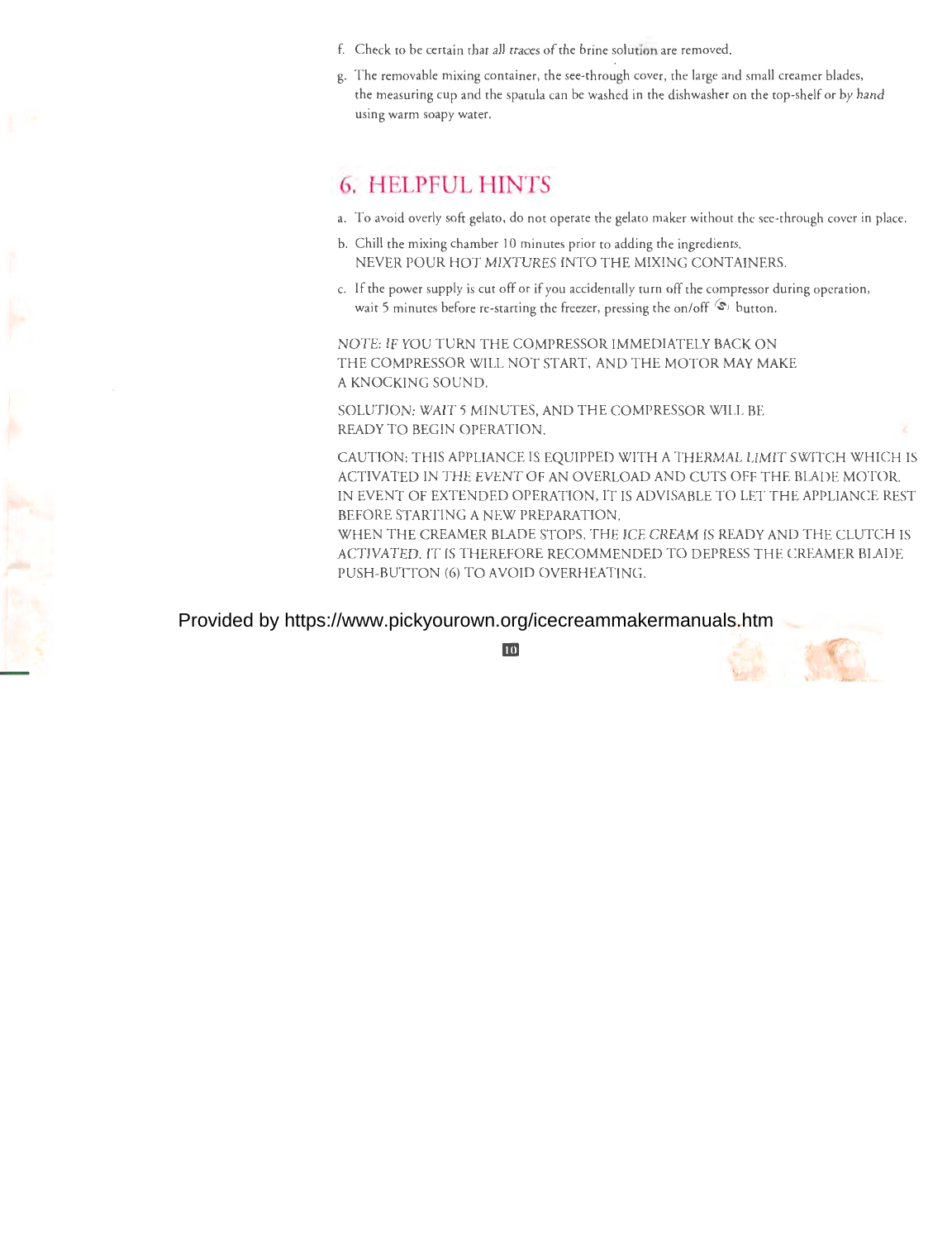- f. Check co be certain chat all traces of the brine solution are removed.
- g. The removable mixing container, the see-through cover, the large and small creamer blades, the measuring cup and the spatula can be washed in the dishwasher on the cop-shelf or by hand using warm soapy water.

### **6. HELPFUL HINTS**

- a. To avoid overly soft gelato, do not operate the gelato maker without the see-through cover in place.
- b. Chill the mixing chamber 10 minutes prior co adding the ingredients. NEVER POUR HOT MIXTURES INTO THE MIXING CONTAINERS.
- c. If the power supply is cut off or if you accidentally turn off the compressor during operation, wait 5 minutes before re-starting the freezer, pressing the on/off  $\circledast$  button.

NOTE: IF YOU TURN THE COMPRESSOR IMMEDIATELY BACK ON THE COMPRESSOR WILL NOT START, AND THE MOTOR MAY MAKE A KNOCKING SOUND.

SOLUTION: WAIT 5 MINUTES, AND THE COMPRESSOR WILL BE READY TO BEGIN OPERATION.

CAUTION: THIS APPLIANCE IS EQUIPPED WITH A THERMAL LIMIT SWITCH WHICH IS ACTIVATED IN THE EVENT OF AN OVERLOAD AND CUTS OFF THE BLADE MOTOR. IN EVENT OF EXTENDED OPERATION, IT IS ADVISABLE TO LET THE APPLIANCE REST BEFORE STARTING A NEW PREPARATION.

WHEN THE CREAMER BLADE STOPS, THE ICE CREAM IS READY AND THE CLUTCH IS ACTIVATED. IT IS THEREFORE RECOMMENDED TO DEPRESS THE CREAMER BLADE PUSH-BUTTON (6) TO AVOID OVERHEATING.

### Provided by https://www.pickyourown.org/icecreammakermanuals.htm

ķ



**l**<sub>10</sub>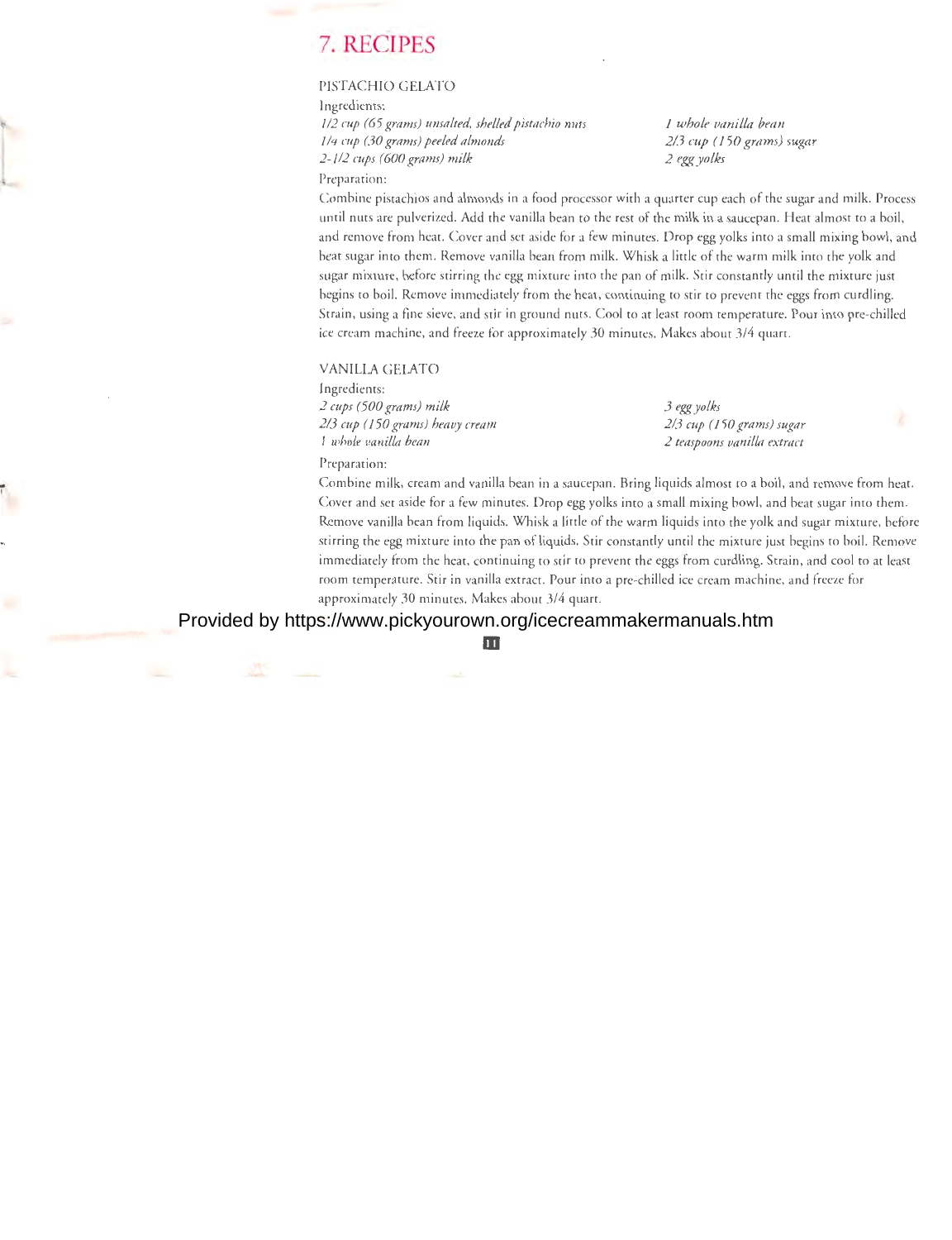### . 7. **RECIPES**

### PISTACHIO GELATO

Ingredients:

J */2 cup (65 grams) unsalted, sheLLed pistachio nuts 114 cup (30 grams) peeled almonds 2-1/2 cups (600 grams) milk* 

*1 whole vanilla bean 2/3 cup (150 grams) sugar 2 egg yolks* 

Preparation:

Combine pistachios and almonds in a food processor with a quarter cup each of the sugar and milk. Process until nuts are pulverized. Add the vanilla bean co the rest of the milk in a saucepan. Heat almost to a boil, and remove from heat. Cover and sec aside for a few minutes. Drop egg yolks into a small mixing bowl, and beat sugar into chem. Remove vanilla bean from milk. Whisk a little of the warm milk into the yolk and sugar mixture, before stirring the egg mixture into the pan of milk. Stir constantly until the mixture just begins to boil. Remove immediately from the heat, continuing to stir co prevent the eggs from curdling. Strain, using a fine sieve, and stir in ground nuts. Cool to at least room temperature. Pour into pre-chilled ice cream machine, and freeze for approximately 30 minutes. Makes about 3/4 quart.

#### VANILLA GELATO

Ingredients: *2 cups (500 grams) milk 2/3 cup (150 grams) heavy cream 1 whole vanilla bean* 

*3 egg yolks 213 cup (150 grams) sugar 2 teaspoons vanilla extract* 

Preparation:

...

Combine milk, cream and vanilla bean in a saucepan. Bring liquids almost co a boil, and remove from heat. Cover and set aside for a few minutes. Drop egg yolks into a small mixing bowl, and beat sugar into them. Remove vanilla bean from liquids. Whisk a little of the warm liquids into the yolk and sugar mixture, before stirring the egg mixture into the pan ofliquids. Stir constantly until the mixture just begins co boil. Remove immediately from the heat, continuing to stir to prevent the eggs from curdling. Strain, and cool to at least room temperature. Stir in vanilla extract. Pour into a pre-chilled ice cream machine, and freeze for approximately 30 minutes. Makes about 3/4 quart.

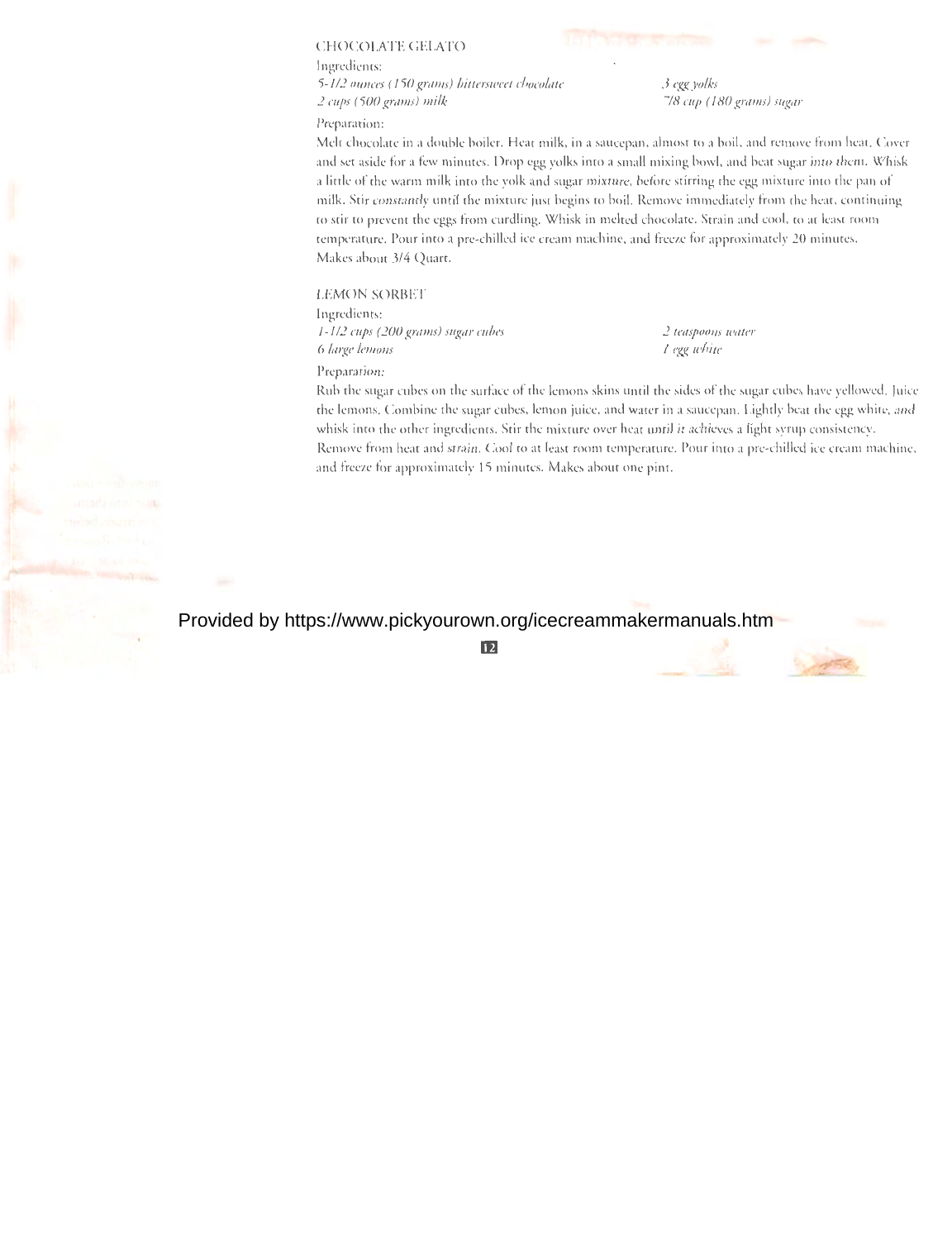### CHOCOLATE GELATO

Ingredients: *5-1 /2 ounces (15 0 grams) bittersweet chocolate 2 cups (500 grams) milk* 

Preparation:

*3 egg yolks 718 cup (180 grams) sugar* 

Melt chocolate in a double boiler. Heat milk, in a saucepan, almost to a boil, and remove from heat. Cover and set aside for a few minutes. Drop egg yolks into a small mixing bowl, and beat sugar into them. Whisk a little of the warm milk into the yolk and sugar mixture, before stirring the egg mixture into the pan of milk. Stir constantly until the mixture just begins to boil. Remove immediately from the heat, continuing to stir to prevent the eggs from curdling. Whisk in melted chocolate. Strain and cool, to at least room temperature. Pour into a pre-chilled ice cream machine, and freeze for approximately 20 minutes. Makes about 3/4 Quart.

#### LEMON SORBET

Preparation:

Ingredients: *1-1/2 cups (200 grams) sugar cubes 6 large lemons* 

*2 teaspoons water 1 egg white* 

Rub the sugar cubes on the surface of the lemons skins until the sides of the sugar cubes have yellowed. Juice the lemons. Combine the sugar cubes, lemon juice, and water in a saucepan. Lightly beat the egg white, and whisk into the other ingredients. Stir the mixture over heat until it achieves a light syrup consistency. Remove from heat and strain. Cool to at least room temperature. Pour into a pre-chilled ice cream machine, and freeze for approximately 15 minutes. Makes about one pint.